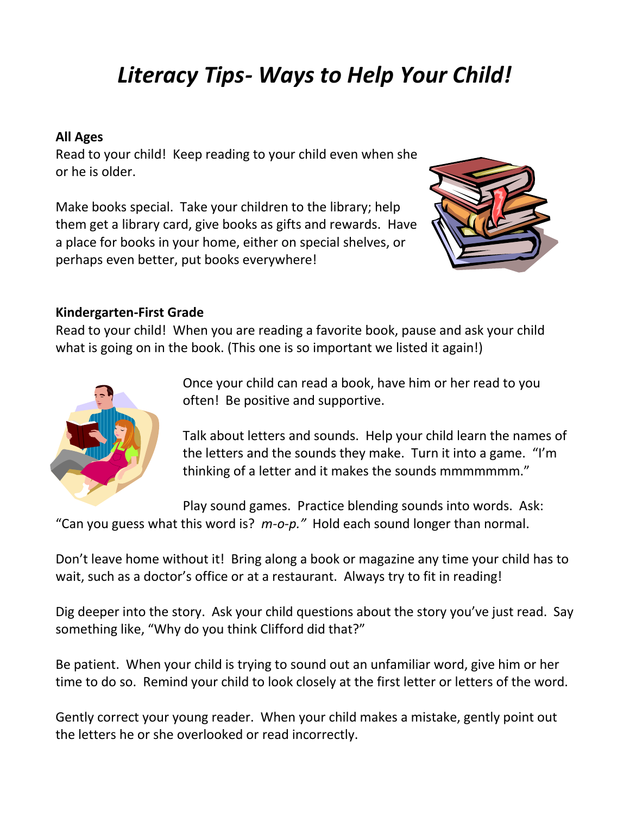# *Literacy Tips- Ways to Help Your Child!*

## **All Ages**

Read to your child! Keep reading to your child even when she or he is older.

Make books special. Take your children to the library; help them get a library card, give books as gifts and rewards. Have a place for books in your home, either on special shelves, or perhaps even better, put books everywhere!



#### **Kindergarten-First Grade**

Read to your child! When you are reading a favorite book, pause and ask your child what is going on in the book. (This one is so important we listed it again!)



Once your child can read a book, have him or her read to you often! Be positive and supportive.

Talk about letters and sounds. Help your child learn the names of the letters and the sounds they make. Turn it into a game. "I'm thinking of a letter and it makes the sounds mmmmmmm."

Play sound games. Practice blending sounds into words. Ask:

"Can you guess what this word is? *m-o-p."* Hold each sound longer than normal.

Don't leave home without it! Bring along a book or magazine any time your child has to wait, such as a doctor's office or at a restaurant. Always try to fit in reading!

Dig deeper into the story. Ask your child questions about the story you've just read. Say something like, "Why do you think Clifford did that?"

Be patient. When your child is trying to sound out an unfamiliar word, give him or her time to do so. Remind your child to look closely at the first letter or letters of the word.

Gently correct your young reader. When your child makes a mistake, gently point out the letters he or she overlooked or read incorrectly.